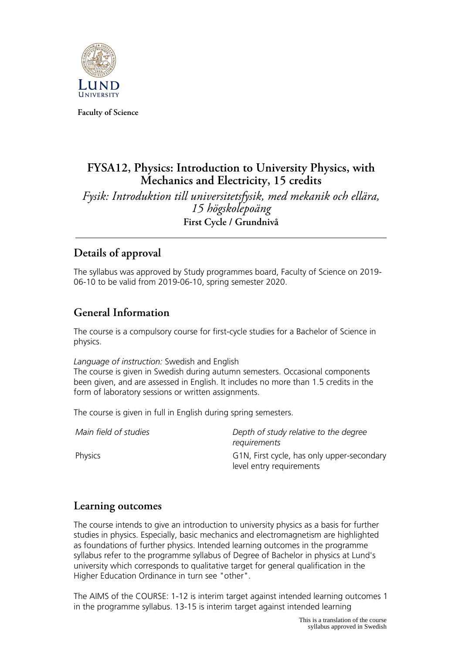

**Faculty of Science**

# **FYSA12, Physics: Introduction to University Physics, with Mechanics and Electricity, 15 credits**

*Fysik: Introduktion till universitetsfysik, med mekanik och ellära, 15 högskolepoäng* **First Cycle / Grundnivå**

# **Details of approval**

The syllabus was approved by Study programmes board, Faculty of Science on 2019- 06-10 to be valid from 2019-06-10, spring semester 2020.

# **General Information**

The course is a compulsory course for first-cycle studies for a Bachelor of Science in physics.

### *Language of instruction:* Swedish and English

The course is given in Swedish during autumn semesters. Occasional components been given, and are assessed in English. It includes no more than 1.5 credits in the form of laboratory sessions or written assignments.

The course is given in full in English during spring semesters.

| Main field of studies | Depth of study relative to the degree<br>requirements                  |
|-----------------------|------------------------------------------------------------------------|
| Physics               | G1N, First cycle, has only upper-secondary<br>level entry requirements |

# **Learning outcomes**

The course intends to give an introduction to university physics as a basis for further studies in physics. Especially, basic mechanics and electromagnetism are highlighted as foundations of further physics. Intended learning outcomes in the programme syllabus refer to the programme syllabus of Degree of Bachelor in physics at Lund's university which corresponds to qualitative target for general qualification in the Higher Education Ordinance in turn see "other".

The AIMS of the COURSE: 1-12 is interim target against intended learning outcomes 1 in the programme syllabus. 13-15 is interim target against intended learning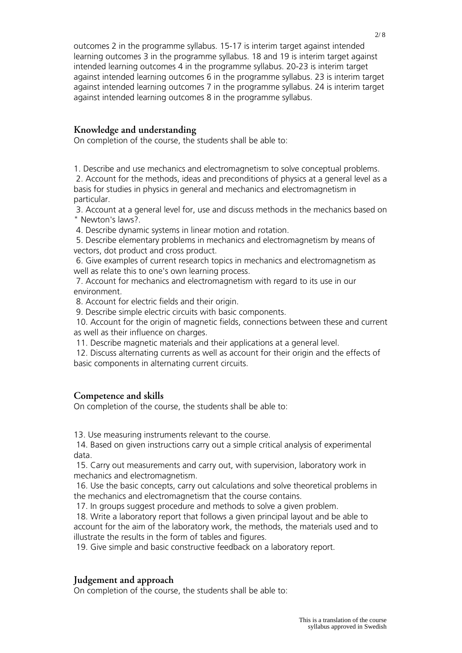outcomes 2 in the programme syllabus. 15-17 is interim target against intended learning outcomes 3 in the programme syllabus. 18 and 19 is interim target against intended learning outcomes 4 in the programme syllabus. 20-23 is interim target against intended learning outcomes 6 in the programme syllabus. 23 is interim target against intended learning outcomes 7 in the programme syllabus. 24 is interim target against intended learning outcomes 8 in the programme syllabus.

## **Knowledge and understanding**

On completion of the course, the students shall be able to:

1. Describe and use mechanics and electromagnetism to solve conceptual problems.

 2. Account for the methods, ideas and preconditions of physics at a general level as a basis for studies in physics in general and mechanics and electromagnetism in particular.

 3. Account at a general level for, use and discuss methods in the mechanics based on " Newton's laws?.

4. Describe dynamic systems in linear motion and rotation.

 5. Describe elementary problems in mechanics and electromagnetism by means of vectors, dot product and cross product.

 6. Give examples of current research topics in mechanics and electromagnetism as well as relate this to one's own learning process.

 7. Account for mechanics and electromagnetism with regard to its use in our environment.

8. Account for electric fields and their origin.

9. Describe simple electric circuits with basic components.

 10. Account for the origin of magnetic fields, connections between these and current as well as their influence on charges.

11. Describe magnetic materials and their applications at a general level.

 12. Discuss alternating currents as well as account for their origin and the effects of basic components in alternating current circuits.

### **Competence and skills**

On completion of the course, the students shall be able to:

13. Use measuring instruments relevant to the course.

 14. Based on given instructions carry out a simple critical analysis of experimental data.

 15. Carry out measurements and carry out, with supervision, laboratory work in mechanics and electromagnetism.

 16. Use the basic concepts, carry out calculations and solve theoretical problems in the mechanics and electromagnetism that the course contains.

17. In groups suggest procedure and methods to solve a given problem.

 18. Write a laboratory report that follows a given principal layout and be able to account for the aim of the laboratory work, the methods, the materials used and to illustrate the results in the form of tables and figures.

19. Give simple and basic constructive feedback on a laboratory report.

## **Judgement and approach**

On completion of the course, the students shall be able to: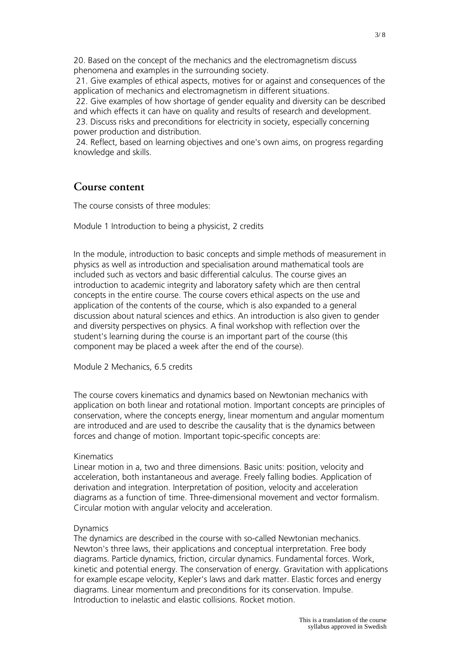20. Based on the concept of the mechanics and the electromagnetism discuss phenomena and examples in the surrounding society.

 21. Give examples of ethical aspects, motives for or against and consequences of the application of mechanics and electromagnetism in different situations.

 22. Give examples of how shortage of gender equality and diversity can be described and which effects it can have on quality and results of research and development.

 23. Discuss risks and preconditions for electricity in society, especially concerning power production and distribution.

 24. Reflect, based on learning objectives and one's own aims, on progress regarding knowledge and skills.

## **Course content**

The course consists of three modules:

Module 1 Introduction to being a physicist, 2 credits

In the module, introduction to basic concepts and simple methods of measurement in physics as well as introduction and specialisation around mathematical tools are included such as vectors and basic differential calculus. The course gives an introduction to academic integrity and laboratory safety which are then central concepts in the entire course. The course covers ethical aspects on the use and application of the contents of the course, which is also expanded to a general discussion about natural sciences and ethics. An introduction is also given to gender and diversity perspectives on physics. A final workshop with reflection over the student's learning during the course is an important part of the course (this component may be placed a week after the end of the course).

Module 2 Mechanics, 6.5 credits

The course covers kinematics and dynamics based on Newtonian mechanics with application on both linear and rotational motion. Important concepts are principles of conservation, where the concepts energy, linear momentum and angular momentum are introduced and are used to describe the causality that is the dynamics between forces and change of motion. Important topic-specific concepts are:

#### Kinematics

Linear motion in a, two and three dimensions. Basic units: position, velocity and acceleration, both instantaneous and average. Freely falling bodies. Application of derivation and integration. Interpretation of position, velocity and acceleration diagrams as a function of time. Three-dimensional movement and vector formalism. Circular motion with angular velocity and acceleration.

### **Dynamics**

The dynamics are described in the course with so-called Newtonian mechanics. Newton's three laws, their applications and conceptual interpretation. Free body diagrams. Particle dynamics, friction, circular dynamics. Fundamental forces. Work, kinetic and potential energy. The conservation of energy. Gravitation with applications for example escape velocity, Kepler's laws and dark matter. Elastic forces and energy diagrams. Linear momentum and preconditions for its conservation. Impulse. Introduction to inelastic and elastic collisions. Rocket motion.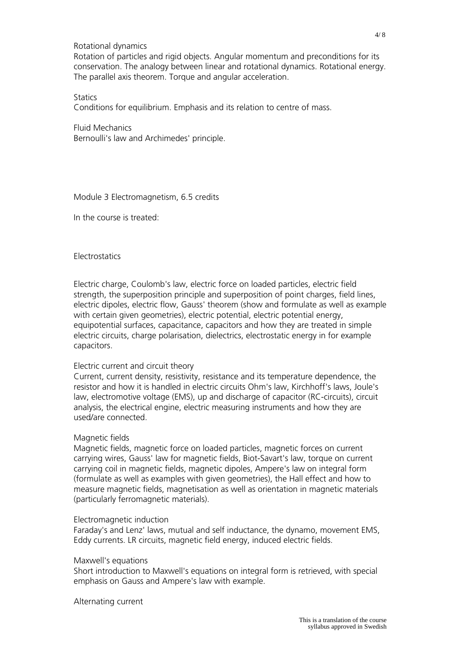### Rotational dynamics

Rotation of particles and rigid objects. Angular momentum and preconditions for its conservation. The analogy between linear and rotational dynamics. Rotational energy. The parallel axis theorem. Torque and angular acceleration.

#### **Statics**

Conditions for equilibrium. Emphasis and its relation to centre of mass.

Fluid Mechanics Bernoulli's law and Archimedes' principle.

Module 3 Electromagnetism, 6.5 credits

In the course is treated:

#### **Electrostatics**

Electric charge, Coulomb's law, electric force on loaded particles, electric field strength, the superposition principle and superposition of point charges, field lines, electric dipoles, electric flow, Gauss' theorem (show and formulate as well as example with certain given geometries), electric potential, electric potential energy, equipotential surfaces, capacitance, capacitors and how they are treated in simple electric circuits, charge polarisation, dielectrics, electrostatic energy in for example capacitors.

#### Electric current and circuit theory

Current, current density, resistivity, resistance and its temperature dependence, the resistor and how it is handled in electric circuits Ohm's law, Kirchhoff's laws, Joule's law, electromotive voltage (EMS), up and discharge of capacitor (RC-circuits), circuit analysis, the electrical engine, electric measuring instruments and how they are used/are connected.

#### Magnetic fields

Magnetic fields, magnetic force on loaded particles, magnetic forces on current carrying wires, Gauss' law for magnetic fields, Biot-Savart's law, torque on current carrying coil in magnetic fields, magnetic dipoles, Ampere's law on integral form (formulate as well as examples with given geometries), the Hall effect and how to measure magnetic fields, magnetisation as well as orientation in magnetic materials (particularly ferromagnetic materials).

#### Electromagnetic induction

Faraday's and Lenz' laws, mutual and self inductance, the dynamo, movement EMS, Eddy currents. LR circuits, magnetic field energy, induced electric fields.

#### Maxwell's equations

Short introduction to Maxwell's equations on integral form is retrieved, with special emphasis on Gauss and Ampere's law with example.

Alternating current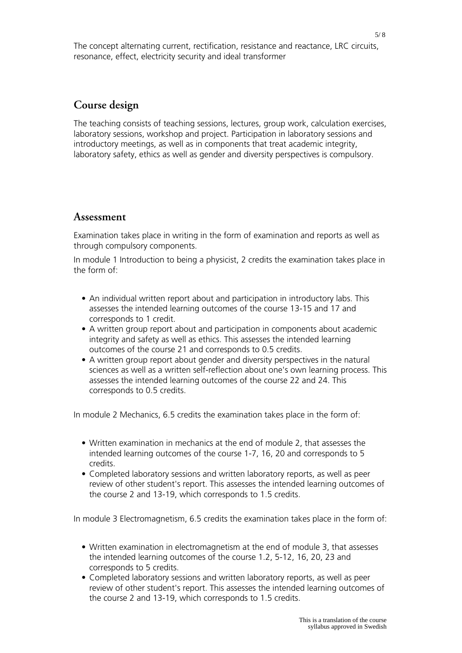The concept alternating current, rectification, resistance and reactance, LRC circuits, resonance, effect, electricity security and ideal transformer

## **Course design**

The teaching consists of teaching sessions, lectures, group work, calculation exercises, laboratory sessions, workshop and project. Participation in laboratory sessions and introductory meetings, as well as in components that treat academic integrity, laboratory safety, ethics as well as gender and diversity perspectives is compulsory.

## **Assessment**

Examination takes place in writing in the form of examination and reports as well as through compulsory components.

In module 1 Introduction to being a physicist, 2 credits the examination takes place in the form of:

- An individual written report about and participation in introductory labs. This assesses the intended learning outcomes of the course 13-15 and 17 and corresponds to 1 credit.
- A written group report about and participation in components about academic integrity and safety as well as ethics. This assesses the intended learning outcomes of the course 21 and corresponds to 0.5 credits.
- A written group report about gender and diversity perspectives in the natural sciences as well as a written self-reflection about one's own learning process. This assesses the intended learning outcomes of the course 22 and 24. This corresponds to 0.5 credits.

In module 2 Mechanics, 6.5 credits the examination takes place in the form of:

- Written examination in mechanics at the end of module 2, that assesses the intended learning outcomes of the course 1-7, 16, 20 and corresponds to 5 credits.
- Completed laboratory sessions and written laboratory reports, as well as peer review of other student's report. This assesses the intended learning outcomes of the course 2 and 13-19, which corresponds to 1.5 credits.

In module 3 Electromagnetism, 6.5 credits the examination takes place in the form of:

- Written examination in electromagnetism at the end of module 3, that assesses the intended learning outcomes of the course 1.2, 5-12, 16, 20, 23 and corresponds to 5 credits.
- Completed laboratory sessions and written laboratory reports, as well as peer review of other student's report. This assesses the intended learning outcomes of the course 2 and 13-19, which corresponds to 1.5 credits.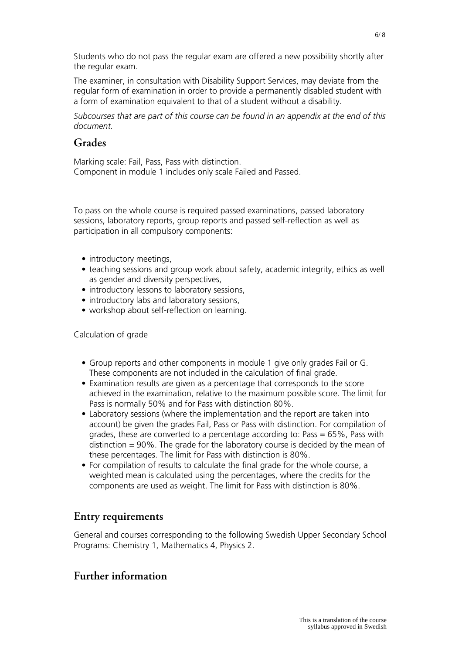Students who do not pass the regular exam are offered a new possibility shortly after the regular exam.

The examiner, in consultation with Disability Support Services, may deviate from the regular form of examination in order to provide a permanently disabled student with a form of examination equivalent to that of a student without a disability.

*Subcourses that are part of this course can be found in an appendix at the end of this document.*

## **Grades**

Marking scale: Fail, Pass, Pass with distinction. Component in module 1 includes only scale Failed and Passed.

To pass on the whole course is required passed examinations, passed laboratory sessions, laboratory reports, group reports and passed self-reflection as well as participation in all compulsory components:

- introductory meetings,
- teaching sessions and group work about safety, academic integrity, ethics as well as gender and diversity perspectives,
- introductory lessons to laboratory sessions,
- introductory labs and laboratory sessions,
- workshop about self-reflection on learning.

Calculation of grade

- Group reports and other components in module 1 give only grades Fail or G. These components are not included in the calculation of final grade.
- Examination results are given as a percentage that corresponds to the score achieved in the examination, relative to the maximum possible score. The limit for Pass is normally 50% and for Pass with distinction 80%.
- Laboratory sessions (where the implementation and the report are taken into account) be given the grades Fail, Pass or Pass with distinction. For compilation of grades, these are converted to a percentage according to: Pass =  $65\%$ , Pass with distinction = 90%. The grade for the laboratory course is decided by the mean of these percentages. The limit for Pass with distinction is 80%.
- For compilation of results to calculate the final grade for the whole course, a weighted mean is calculated using the percentages, where the credits for the components are used as weight. The limit for Pass with distinction is 80%.

## **Entry requirements**

General and courses corresponding to the following Swedish Upper Secondary School Programs: Chemistry 1, Mathematics 4, Physics 2.

# **Further information**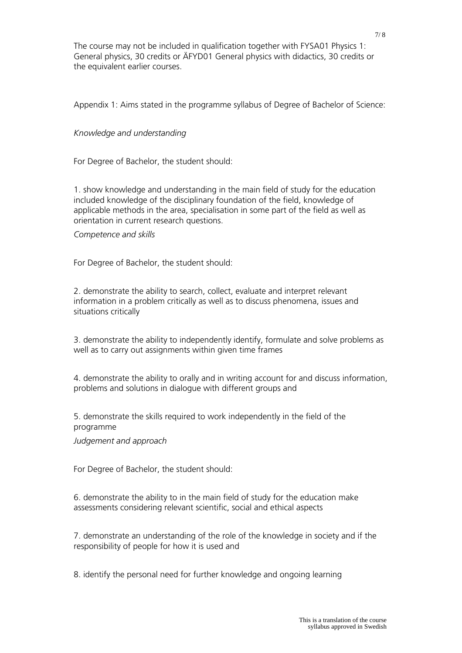The course may not be included in qualification together with FYSA01 Physics 1: General physics, 30 credits or ÄFYD01 General physics with didactics, 30 credits or the equivalent earlier courses.

Appendix 1: Aims stated in the programme syllabus of Degree of Bachelor of Science:

### *Knowledge and understanding*

For Degree of Bachelor, the student should:

1. show knowledge and understanding in the main field of study for the education included knowledge of the disciplinary foundation of the field, knowledge of applicable methods in the area, specialisation in some part of the field as well as orientation in current research questions.

*Competence and skills*

For Degree of Bachelor, the student should:

2. demonstrate the ability to search, collect, evaluate and interpret relevant information in a problem critically as well as to discuss phenomena, issues and situations critically

3. demonstrate the ability to independently identify, formulate and solve problems as well as to carry out assignments within given time frames

4. demonstrate the ability to orally and in writing account for and discuss information, problems and solutions in dialogue with different groups and

5. demonstrate the skills required to work independently in the field of the programme

*Judgement and approach*

For Degree of Bachelor, the student should:

6. demonstrate the ability to in the main field of study for the education make assessments considering relevant scientific, social and ethical aspects

7. demonstrate an understanding of the role of the knowledge in society and if the responsibility of people for how it is used and

8. identify the personal need for further knowledge and ongoing learning